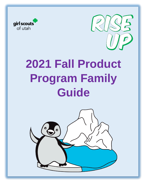



# **2021 Fall Product Program Family Guide**

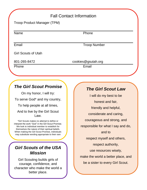## Fall Contact Information

| Troop Product Manager (TPM) |  |
|-----------------------------|--|
|-----------------------------|--|

Name **Name** Phone

**Email** Troop Number

Girl Scouts of Utah

801-265-8472 cookies@gsutah.org

Phone **Email** 

# *The Girl Scout Promise*

On my honor, I will try: To serve God\* and my country,

To help people at all times,

And to live by the Girl Scout Law.

\*Girl Scouts makes no attempt to define or interpret the work "God" in the Girl Scout Promise. We look to individual member to establish for themselves the nature of their spiritual beliefs. When making the Girl Scout Promise, individuals may substitute wording appropriate to their own

## *Girl Scouts of the USA Mission*

Girl Scouting builds girls of courage, confidence, and character who make the world a better place.

#### *The Girl Scout Law*

I will do my best to be honest and fair, friendly and helpful, considerate and caring, courageous and strong, and responsible for what I say and do, and to respect myself and others, respect authority, use resources wisely, make the world a better place, and be a sister to every Girl Scout.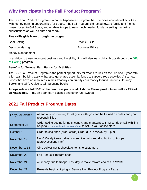## **Why Participate in the Fall Product Program?**

The GSU Fall Product Program is a council-sponsored program that combines educational activities with money-earning opportunities for troops. The Fall Program is directed toward family and friends, those closest to Girl Scout, and enables troops to earn much needed funds by selling magazine subscriptions as well as nuts and candy.

#### **Five skills girls learn through the program:**

| Goal Setting    | <b>People Skills</b>   |
|-----------------|------------------------|
| Decision Making | <b>Business Ethics</b> |

Money Management

In addition to these important business and life skills, girls will also learn philanthropy through the **Gift of Caring** program.

#### **Benefits for Troops: Earn Funds for Activities**

The GSU Fall Product Program is the perfect opportunity for troops to kick-off the Girl Scout year with a fun team-building activity that also generates essential funds to support troop activities. Also, new troops that have no resources in their treasury can quickly earn money to fund uniforms, Journey Books, and Girl's Guide to Girl Scouting books.

**Troops retain a full 15% of the purchase price of all Ashdon Farms products as well as 15% of all Magazines.** Plus, girls can earn patches and other fun rewards.

## **2021 Fall Product Program Dates**

| <b>Early September</b> | Attend a troop meeting to set goals with girls and be trained on dates and your<br>responsibilities                                             |
|------------------------|-------------------------------------------------------------------------------------------------------------------------------------------------|
| September 24           | Order taking begins for nuts, candy, and magazines. TPM sends email with link<br>or go to www.gsnutsandmags.com/gsu to set up your online store |
| October 10             | Order taking ends (order cards) Order due in M2OS by 8 p.m.                                                                                     |
| November 1-5           | Nut & Candy items delivery to service units and distribution to troops<br>(dates/locations vary)                                                |
| November 1-14          | Girls deliver nut & chocolate items to customers                                                                                                |
| November 23            | <b>Fall Product Program ends</b>                                                                                                                |
| November 24            | All money due to troops. Last day to make reward choices in M2OS                                                                                |
| December 27            | Rewards begin shipping to Service Unit Product Program Rep.s                                                                                    |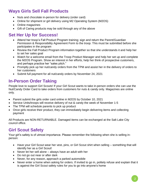# **Ways Girls Sell Fall Products**

- Nuts and chocolate in-person for delivery (order card)
- Online for shipment or girl delivery using M2 Operating System (M2OS)
- Online magazines
- Gift of Caring products may be sold through any of the above

## **Set Her Up for Success!**

- Attend her troop's Fall Product Program training; sign and return the Parent/Guardian Permission & Responsibility Agreement Form to the troop. This must be submitted before she participates in the program
- Review the Fall Product Program information together so that she understands it and help her to set her sales goal
- Watch for a welcome email from the Troop Product Manager and help her set up and complete the M2OS Program. Show an interest in her efforts, help her think of prospective customers, and perhaps practice her "sales pitch."
- Promptly pick up her nut/candy orders from the TPM and assist her in the delivery of orders to her customers
- Submit full payment for all nut/candy orders by November 24, 2021

## **In-Person Order Taking**

People love to support Girl Scouts! If your Girl Scout wants to take in-person orders she can use the Nut/Candy Order Card to take orders from customers for nuts & candy only. Magazines are online only.

- Parent submit the girls order card online in M2OS by October 10, 2021
- Service Units/troops will receive delivery of nut & candy the week of November 1-5
- The TPM will schedule parents to pick up product
- Once girls receive their product, they can immediately begin delivering items and collecting payment

All Products are NON-RETURNABLE. Damaged items can be exchanged at the Salt Lake City council office.

## **Girl Scout Safety**

Your girl's safety is of utmost importance. Please remember the following when she is selling inperson:

- Have your Girl Scout wear her vest, pins, or Girl Scout shirt when selling something that will identify her as a Girl Scout!
- Never let her sell alone always have an adult with her
- Do not go out near or after dark
- Never, for any reason, approach a parked automobile
- Never enter a home when asking for orders. If invited to go in, politely refuse and explain that it is against the Girl Scout safety rules for you to go into anyone's home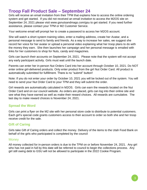#### **Troop Fall Product Sale – September 24**

Girls will receive an email invitation from their TPM that explains how to access the online ordering system and get started. If you did not received an email invitation to access the M2OS site on September 24, 2021 please visit www.gsnutsandmags.com/gsu to get started. If you need further assistance, please contact your TPM or M2 Customer Service.

Your welcome email will prompt her to create a password to access her M2OS account.

She will watch a short system training video, enter a mailing address, create her Avatar, and a personal message to send to family and friends. As a way to increase her sales, we suggest she record her voice for her avatar or upload a personal video explaining what her troop plans to do with the money they earn. She then launches her campaign and her personal message is emailed with links for her customers to shop for Nuts, candy and magazines.

Girls can launch their accounts on September 24, 2021. Please note that the system will not accept any early participant activity. Girls must wait until the launch date.

Parents can enter her in-person Nut Orders Card into her account through October 10, 2021. Do NOT enter online girl-delivered products. Only enter product from the girl Nut Order Card. All product is automatically submitted for fulfillment. There is no "submit" button!

Note: If you do not enter your order by October 10, 2021 you will be locked out of the system. You will need to send your Nut Order Card to your TPM and they will submit the order.

Girl rewards are automatically calculated in M2OS. Girls can earn the rewards located on the Nut Order Card and on our council website. As orders are placed, girls can log into their online site and see what they have earned as well as make their reward choices. All rewards are cumulative. The last day to make reward choices is November 24, 2021.

#### **Spread the Word**

Girls can print a flyer on the M2 site with her personal store code to distribute to potential customers. Each girl's special code grants customers access to their account to order so both she and her troop receive credit for the sale.

#### **Gift of Caring**

Girls take Gift of Caring orders and collect the money. Delivery of the items to the Utah Food Bank on behalf of the girls who participated is completed by the council

#### **Money**

All money collected for in-person orders is due to the TPM on or before November 24, 2021. Any girl who has not paid in full by this date will be referred to council to begin the collections process. Any girl still owing debt to GSU will not be allowed to participate in the 2022 Cookie Program.